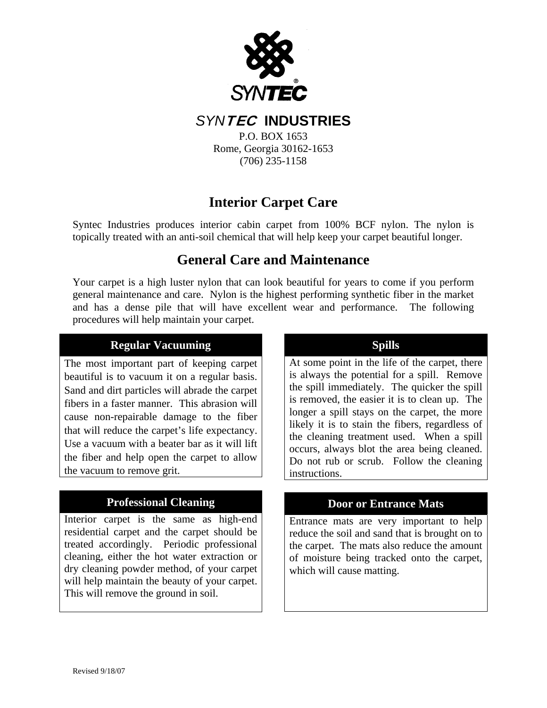

*SYN*TEC **INDUSTRIES** 

P.O. BOX 1653 Rome, Georgia 30162-1653 (706) 235-1158

# **Interior Carpet Care**

Syntec Industries produces interior cabin carpet from 100% BCF nylon. The nylon is topically treated with an anti-soil chemical that will help keep your carpet beautiful longer.

## **General Care and Maintenance**

Your carpet is a high luster nylon that can look beautiful for years to come if you perform general maintenance and care. Nylon is the highest performing synthetic fiber in the market and has a dense pile that will have excellent wear and performance. The following procedures will help maintain your carpet.

## **Regular Vacuuming**

The most important part of keeping carpet beautiful is to vacuum it on a regular basis. Sand and dirt particles will abrade the carpet fibers in a faster manner. This abrasion will cause non-repairable damage to the fiber that will reduce the carpet's life expectancy. Use a vacuum with a beater bar as it will lift the fiber and help open the carpet to allow the vacuum to remove grit.

## **Professional Cleaning**

Interior carpet is the same as high-end residential carpet and the carpet should be treated accordingly. Periodic professional cleaning, either the hot water extraction or dry cleaning powder method, of your carpet will help maintain the beauty of your carpet. This will remove the ground in soil.

## **Spills**

At some point in the life of the carpet, there is always the potential for a spill. Remove the spill immediately. The quicker the spill is removed, the easier it is to clean up. The longer a spill stays on the carpet, the more likely it is to stain the fibers, regardless of the cleaning treatment used. When a spill occurs, always blot the area being cleaned. Do not rub or scrub. Follow the cleaning instructions.

## **Door or Entrance Mats**

Entrance mats are very important to help reduce the soil and sand that is brought on to the carpet. The mats also reduce the amount of moisture being tracked onto the carpet, which will cause matting.